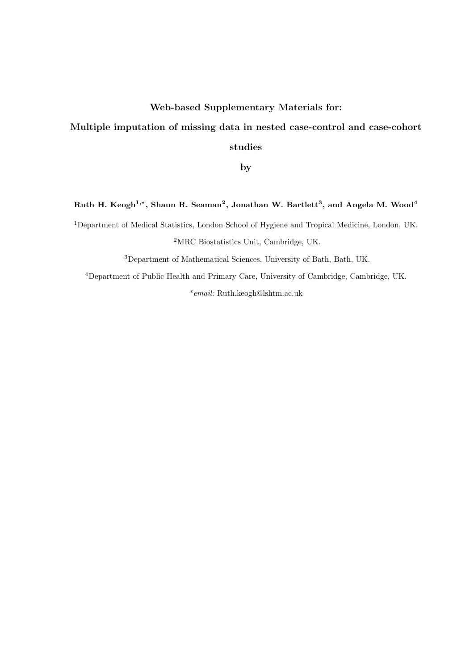## Web-based Supplementary Materials for:

# Multiple imputation of missing data in nested case-control and case-cohort

studies

by

#### Ruth H. Keogh $^{1,*},$  Shaun R. Seaman $^2,$  Jonathan W. Bartlett $^3,$  and Angela M. Wood $^4$

<sup>1</sup>Department of Medical Statistics, London School of Hygiene and Tropical Medicine, London, UK. <sup>2</sup>MRC Biostatistics Unit, Cambridge, UK.

<sup>3</sup>Department of Mathematical Sciences, University of Bath, Bath, UK.

<sup>4</sup>Department of Public Health and Primary Care, University of Cambridge, Cambridge, UK. \*email: Ruth.keogh@lshtm.ac.uk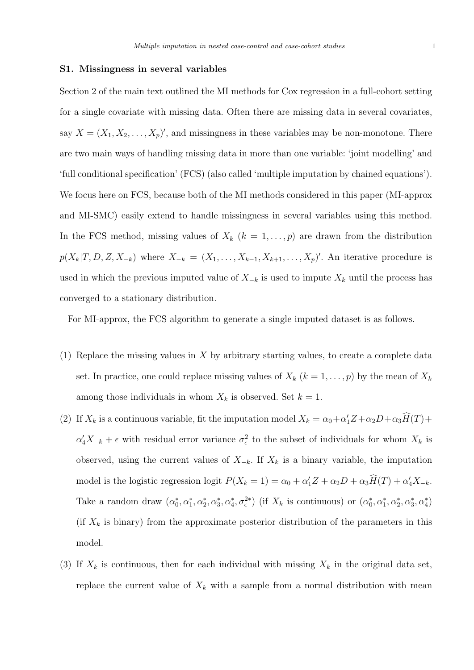#### S1. Missingness in several variables

Section 2 of the main text outlined the MI methods for Cox regression in a full-cohort setting for a single covariate with missing data. Often there are missing data in several covariates, say  $X = (X_1, X_2, \ldots, X_p)'$ , and missingness in these variables may be non-monotone. There are two main ways of handling missing data in more than one variable: 'joint modelling' and 'full conditional specification' (FCS) (also called 'multiple imputation by chained equations'). We focus here on FCS, because both of the MI methods considered in this paper (MI-approx and MI-SMC) easily extend to handle missingness in several variables using this method. In the FCS method, missing values of  $X_k$   $(k = 1, \ldots, p)$  are drawn from the distribution  $p(X_k|T, D, Z, X_{-k})$  where  $X_{-k} = (X_1, \ldots, X_{k-1}, X_{k+1}, \ldots, X_p)'$ . An iterative procedure is used in which the previous imputed value of  $X_{-k}$  is used to impute  $X_k$  until the process has converged to a stationary distribution.

For MI-approx, the FCS algorithm to generate a single imputed dataset is as follows.

- (1) Replace the missing values in X by arbitrary starting values, to create a complete data set. In practice, one could replace missing values of  $X_k$   $(k = 1, \ldots, p)$  by the mean of  $X_k$ among those individuals in whom  $X_k$  is observed. Set  $k = 1$ .
- (2) If  $X_k$  is a continuous variable, fit the imputation model  $X_k = \alpha_0 + \alpha'_1 Z + \alpha_2 D + \alpha_3 \widehat{H}(T) +$  $\alpha'_4X_{-k} + \epsilon$  with residual error variance  $\sigma_{\epsilon}^2$  to the subset of individuals for whom  $X_k$  is observed, using the current values of  $X_{-k}$ . If  $X_k$  is a binary variable, the imputation model is the logistic regression logit  $P(X_k = 1) = \alpha_0 + \alpha'_1 Z + \alpha_2 D + \alpha_3 \widehat{H}(T) + \alpha'_4 X_{-k}$ . Take a random draw  $(\alpha_0^*, \alpha_1^*, \alpha_2^*, \alpha_3^*, \alpha_4^*, \sigma_{\epsilon}^{2*})$  (if  $X_k$  is continuous) or  $(\alpha_0^*, \alpha_1^*, \alpha_2^*, \alpha_3^*, \alpha_4^*)$ (if  $X_k$  is binary) from the approximate posterior distribution of the parameters in this model.
- (3) If  $X_k$  is continuous, then for each individual with missing  $X_k$  in the original data set, replace the current value of  $X_k$  with a sample from a normal distribution with mean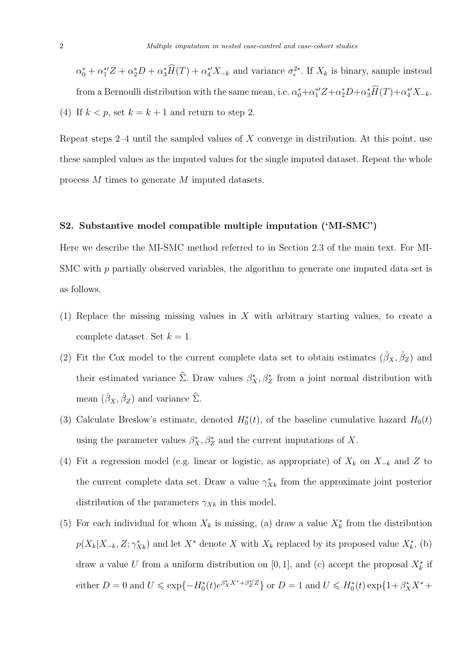$\alpha_0^* + \alpha_1^{*'}Z + \alpha_2^{*}D + \alpha_3^{*'}\tilde{H}(T) + \alpha_4^{*'}X_{-k}$  and variance  $\sigma_{\epsilon}^{2*}$ . If  $X_k$  is binary, sample instead from a Bernoulli distribution with the same mean, i.e.  $\alpha_0^* + \alpha_1^{*'}Z + \alpha_2^*D + \alpha_3^*H(T) + \alpha_4^{*'}X_{-k}$ . (4) If  $k < p$ , set  $k = k + 1$  and return to step 2.

Repeat steps 2–4 until the sampled values of  $X$  converge in distribution. At this point, use these sampled values as the imputed values for the single imputed dataset. Repeat the whole process M times to generate M imputed datasets.

#### S2. Substantive model compatible multiple imputation ('MI-SMC')

Here we describe the MI-SMC method referred to in Section 2.3 of the main text. For MI-SMC with p partially observed variables, the algorithm to generate one imputed data set is as follows.

- (1) Replace the missing missing values in X with arbitrary starting values, to create a complete dataset. Set  $k = 1$ .
- (2) Fit the Cox model to the current complete data set to obtain estimates  $(\hat{\beta}_X, \hat{\beta}_Z)$  and their estimated variance  $\hat{\Sigma}$ . Draw values  $\beta_X^*, \beta_Z^*$  from a joint normal distribution with mean  $(\hat{\beta}_X, \hat{\beta}_Z)$  and variance  $\hat{\Sigma}$ .
- (3) Calculate Breslow's estimate, denoted  $H_0^*(t)$ , of the baseline cumulative hazard  $H_0(t)$ using the parameter values  $\beta_X^*, \beta_Z^*$  and the current imputations of X.
- (4) Fit a regression model (e.g. linear or logistic, as appropriate) of  $X_k$  on  $X_{-k}$  and Z to the current complete data set. Draw a value  $\gamma_{Xk}^*$  from the approximate joint posterior distribution of the parameters  $\gamma_{Xk}$  in this model.
- (5) For each individual for whom  $X_k$  is missing, (a) draw a value  $X_k^*$  from the distribution  $p(X_k|X_{-k}, Z; \gamma^*_{Xk})$  and let  $X^*$  denote X with  $X_k$  replaced by its proposed value  $X_k^*$ , (b) draw a value U from a uniform distribution on [0, 1], and (c) accept the proposal  $X_k^*$  if either  $D = 0$  and  $U \le \exp\{-H_0^*(t)e^{\beta_X^* X^* + \beta_Z^{*'} Z}\}\$  or  $D = 1$  and  $U \le H_0^*(t) \exp\{1 + \beta_X^* X^* + \beta_Z^{*'} Z\}$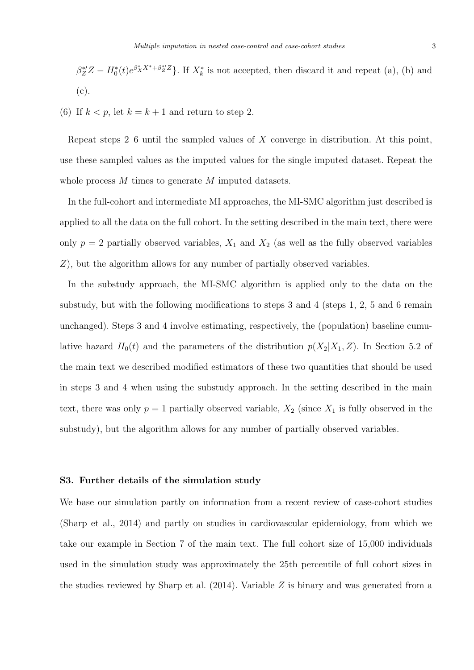$$
\beta_Z^{*'}Z - H_0^*(t)e^{\beta_X^*X^* + \beta_Z^{*'}Z}
$$
. If  $X_k^*$  is not accepted, then discard it and repeat (a), (b) and (c).

(6) If  $k < p$ , let  $k = k + 1$  and return to step 2.

Repeat steps  $2-6$  until the sampled values of X converge in distribution. At this point, use these sampled values as the imputed values for the single imputed dataset. Repeat the whole process M times to generate M imputed datasets.

In the full-cohort and intermediate MI approaches, the MI-SMC algorithm just described is applied to all the data on the full cohort. In the setting described in the main text, there were only  $p = 2$  partially observed variables,  $X_1$  and  $X_2$  (as well as the fully observed variables Z), but the algorithm allows for any number of partially observed variables.

In the substudy approach, the MI-SMC algorithm is applied only to the data on the substudy, but with the following modifications to steps 3 and 4 (steps 1, 2, 5 and 6 remain unchanged). Steps 3 and 4 involve estimating, respectively, the (population) baseline cumulative hazard  $H_0(t)$  and the parameters of the distribution  $p(X_2|X_1, Z)$ . In Section 5.2 of the main text we described modified estimators of these two quantities that should be used in steps 3 and 4 when using the substudy approach. In the setting described in the main text, there was only  $p = 1$  partially observed variable,  $X_2$  (since  $X_1$  is fully observed in the substudy), but the algorithm allows for any number of partially observed variables.

#### S3. Further details of the simulation study

We base our simulation partly on information from a recent review of case-cohort studies (Sharp et al., 2014) and partly on studies in cardiovascular epidemiology, from which we take our example in Section 7 of the main text. The full cohort size of 15,000 individuals used in the simulation study was approximately the 25th percentile of full cohort sizes in the studies reviewed by Sharp et al. (2014). Variable Z is binary and was generated from a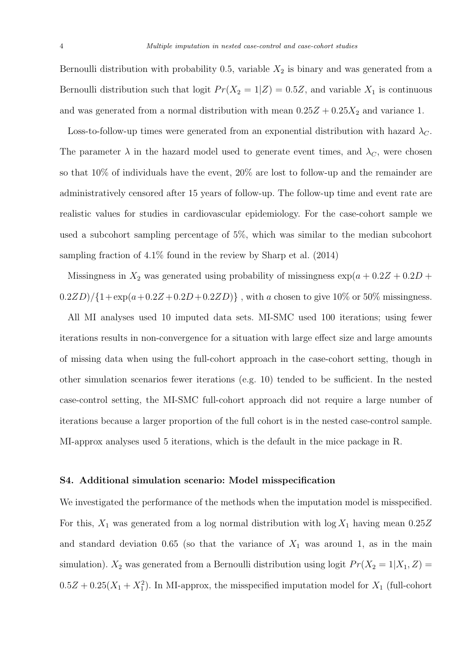Bernoulli distribution with probability 0.5, variable  $X_2$  is binary and was generated from a Bernoulli distribution such that logit  $Pr(X_2 = 1|Z) = 0.5Z$ , and variable  $X_1$  is continuous and was generated from a normal distribution with mean  $0.25Z + 0.25X_2$  and variance 1.

Loss-to-follow-up times were generated from an exponential distribution with hazard  $\lambda_C$ . The parameter  $\lambda$  in the hazard model used to generate event times, and  $\lambda_C$ , were chosen so that 10% of individuals have the event, 20% are lost to follow-up and the remainder are administratively censored after 15 years of follow-up. The follow-up time and event rate are realistic values for studies in cardiovascular epidemiology. For the case-cohort sample we used a subcohort sampling percentage of 5%, which was similar to the median subcohort sampling fraction of 4.1% found in the review by Sharp et al. (2014)

Missingness in  $X_2$  was generated using probability of missingness  $\exp(a + 0.2Z + 0.2D +$  $(0.2ZD)/\{1+\exp(a+0.2Z+0.2D+0.2ZD)\}\,$ , with a chosen to give 10% or 50% missingness.

All MI analyses used 10 imputed data sets. MI-SMC used 100 iterations; using fewer iterations results in non-convergence for a situation with large effect size and large amounts of missing data when using the full-cohort approach in the case-cohort setting, though in other simulation scenarios fewer iterations (e.g. 10) tended to be sufficient. In the nested case-control setting, the MI-SMC full-cohort approach did not require a large number of iterations because a larger proportion of the full cohort is in the nested case-control sample. MI-approx analyses used 5 iterations, which is the default in the mice package in R.

#### S4. Additional simulation scenario: Model misspecification

We investigated the performance of the methods when the imputation model is misspecified. For this,  $X_1$  was generated from a log normal distribution with  $\log X_1$  having mean  $0.25Z$ and standard deviation 0.65 (so that the variance of  $X_1$  was around 1, as in the main simulation).  $X_2$  was generated from a Bernoulli distribution using logit  $Pr(X_2 = 1 | X_1, Z)$  $0.5Z + 0.25(X_1 + X_1^2)$ . In MI-approx, the misspecified imputation model for  $X_1$  (full-cohort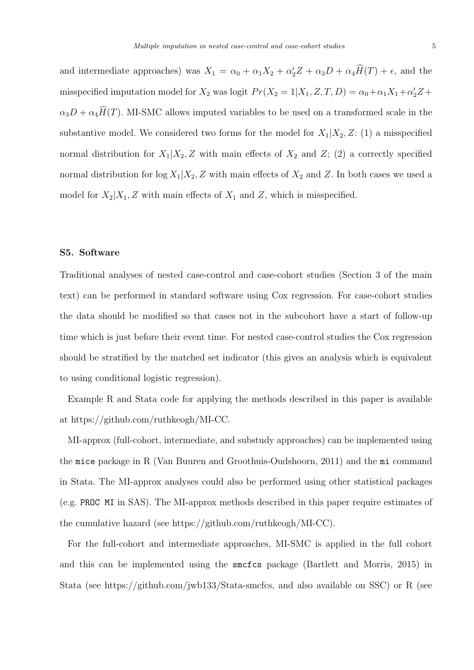and intermediate approaches) was  $X_1 = \alpha_0 + \alpha_1 X_2 + \alpha_2 Z + \alpha_3 D + \alpha_4 H(T) + \epsilon$ , and the misspecified imputation model for  $X_2$  was logit  $Pr(X_2 = 1 | X_1, Z, T, D) = \alpha_0 + \alpha_1 X_1 + \alpha_2 Z +$  $\alpha_3D + \alpha_4\widehat{H}(T)$ . MI-SMC allows imputed variables to be used on a transformed scale in the substantive model. We considered two forms for the model for  $X_1|X_2, Z: (1)$  a misspecified normal distribution for  $X_1|X_2, Z$  with main effects of  $X_2$  and  $Z$ ; (2) a correctly specified normal distribution for  $\log X_1|X_2, Z$  with main effects of  $X_2$  and Z. In both cases we used a model for  $X_2|X_1, Z$  with main effects of  $X_1$  and  $Z$ , which is misspecified.

### S5. Software

Traditional analyses of nested case-control and case-cohort studies (Section 3 of the main text) can be performed in standard software using Cox regression. For case-cohort studies the data should be modified so that cases not in the subcohort have a start of follow-up time which is just before their event time. For nested case-control studies the Cox regression should be stratified by the matched set indicator (this gives an analysis which is equivalent to using conditional logistic regression).

Example R and Stata code for applying the methods described in this paper is available at https://github.com/ruthkeogh/MI-CC.

MI-approx (full-cohort, intermediate, and substudy approaches) can be implemented using the mice package in R (Van Buuren and Groothuis-Oudshoorn, 2011) and the mi command in Stata. The MI-approx analyses could also be performed using other statistical packages (e.g. PROC MI in SAS). The MI-approx methods described in this paper require estimates of the cumulative hazard (see https://github.com/ruthkeogh/MI-CC).

For the full-cohort and intermediate approaches, MI-SMC is applied in the full cohort and this can be implemented using the smcfcs package (Bartlett and Morris, 2015) in Stata (see https://github.com/jwb133/Stata-smcfcs, and also available on SSC) or R (see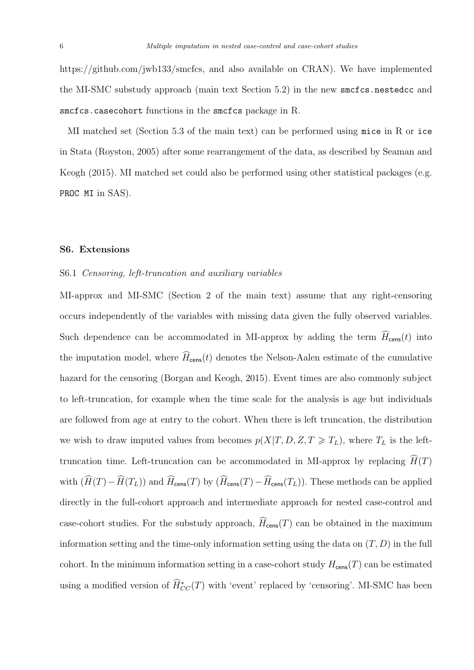https://github.com/jwb133/smcfcs, and also available on CRAN). We have implemented the MI-SMC substudy approach (main text Section 5.2) in the new smcfcs.nestedcc and smcfcs.casecohort functions in the smcfcs package in R.

MI matched set (Section 5.3 of the main text) can be performed using mice in R or ice in Stata (Royston, 2005) after some rearrangement of the data, as described by Seaman and Keogh (2015). MI matched set could also be performed using other statistical packages (e.g. PROC MI in SAS).

#### S6. Extensions

#### S6.1 Censoring, left-truncation and auxiliary variables

MI-approx and MI-SMC (Section 2 of the main text) assume that any right-censoring occurs independently of the variables with missing data given the fully observed variables. Such dependence can be accommodated in MI-approx by adding the term  $H_{\text{cens}}(t)$  into the imputation model, where  $\widehat{H}_{\text{cens}}(t)$  denotes the Nelson-Aalen estimate of the cumulative hazard for the censoring (Borgan and Keogh, 2015). Event times are also commonly subject to left-truncation, for example when the time scale for the analysis is age but individuals are followed from age at entry to the cohort. When there is left truncation, the distribution we wish to draw imputed values from becomes  $p(X|T, D, Z, T \geq T_L)$ , where  $T_L$  is the lefttruncation time. Left-truncation can be accommodated in MI-approx by replacing  $\hat{H}(T)$ with  $(\widehat{H}(T)-\widehat{H}(T_L))$  and  $\widehat{H}_{\text{cens}}(T)$  by  $(\widehat{H}_{\text{cens}}(T)-\widehat{H}_{\text{cens}}(T_L))$ . These methods can be applied directly in the full-cohort approach and intermediate approach for nested case-control and case-cohort studies. For the substudy approach,  $\widehat{H}_{\text{cens}}(T)$  can be obtained in the maximum information setting and the time-only information setting using the data on  $(T, D)$  in the full cohort. In the minimum information setting in a case-cohort study  $H_{\text{cens}}(T)$  can be estimated using a modified version of  $\widehat{H}_{CC}^*(T)$  with 'event' replaced by 'censoring'. MI-SMC has been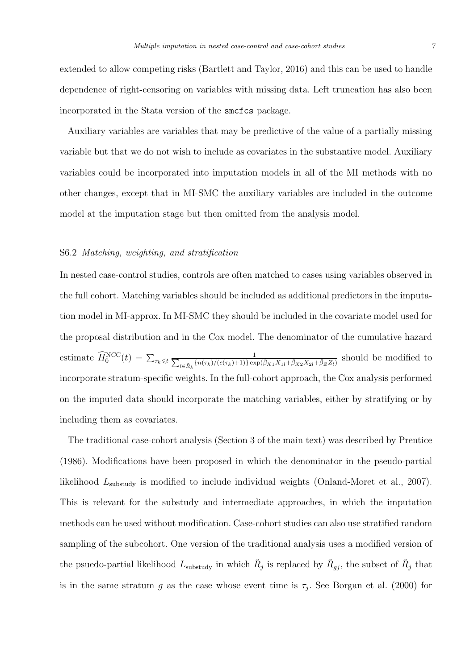extended to allow competing risks (Bartlett and Taylor, 2016) and this can be used to handle dependence of right-censoring on variables with missing data. Left truncation has also been incorporated in the Stata version of the smcfcs package.

Auxiliary variables are variables that may be predictive of the value of a partially missing variable but that we do not wish to include as covariates in the substantive model. Auxiliary variables could be incorporated into imputation models in all of the MI methods with no other changes, except that in MI-SMC the auxiliary variables are included in the outcome model at the imputation stage but then omitted from the analysis model.

#### S6.2 Matching, weighting, and stratification

In nested case-control studies, controls are often matched to cases using variables observed in the full cohort. Matching variables should be included as additional predictors in the imputation model in MI-approx. In MI-SMC they should be included in the covariate model used for the proposal distribution and in the Cox model. The denominator of the cumulative hazard estimate  $\widehat{H}_0^{\text{NCC}}(t) = \sum_{\tau_k \leqslant t} \frac{1}{\sum_{l \in \tilde{p}_k} \{n(\tau_k)/(c(\tau_k)+1)\} \text{exp}(\tau_k)}$  $\frac{1}{\lambda_{l\in \tilde{R}_k} \{n(\tau_k)/(c(\tau_k)+1)\} \exp(\hat{\beta}_{X1}X_{1l}+\hat{\beta}_{X2}X_{2l}+\hat{\beta}_Z Z_l)}}$  should be modified to incorporate stratum-specific weights. In the full-cohort approach, the Cox analysis performed on the imputed data should incorporate the matching variables, either by stratifying or by including them as covariates.

The traditional case-cohort analysis (Section 3 of the main text) was described by Prentice (1986). Modifications have been proposed in which the denominator in the pseudo-partial likelihood  $L_{\text{substudy}}$  is modified to include individual weights (Onland-Moret et al., 2007). This is relevant for the substudy and intermediate approaches, in which the imputation methods can be used without modification. Case-cohort studies can also use stratified random sampling of the subcohort. One version of the traditional analysis uses a modified version of the psuedo-partial likelihood  $L_{\text{substudy}}$  in which  $R_j$  is replaced by  $\tilde{R}_{jj}$ , the subset of  $\tilde{R}_j$  that is in the same stratum g as the case whose event time is  $\tau_j$ . See Borgan et al. (2000) for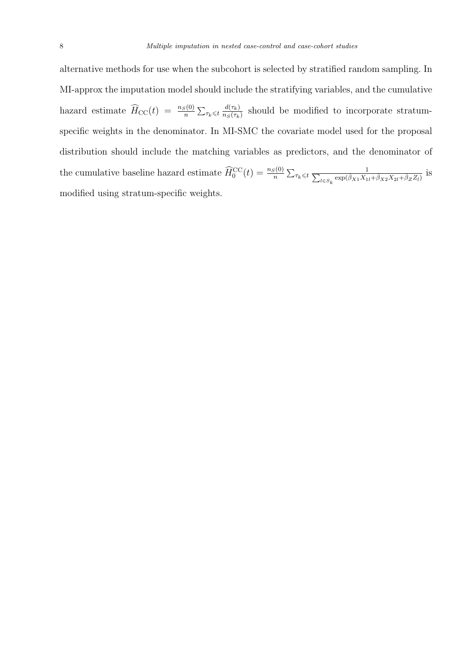alternative methods for use when the subcohort is selected by stratified random sampling. In MI-approx the imputation model should include the stratifying variables, and the cumulative hazard estimate  $\widehat{H}_{\text{CC}}(t) = \frac{n_S(0)}{n} \sum_{\tau_k \leqslant t} \frac{d(\tau_k)}{n_S(\tau_k)}$  $\frac{d(\tau_k)}{n_S(\tau_k)}$  should be modified to incorporate stratumspecific weights in the denominator. In MI-SMC the covariate model used for the proposal distribution should include the matching variables as predictors, and the denominator of the cumulative baseline hazard estimate  $\widehat{H}_0^{\text{CC}}(t) = \frac{n_S(0)}{n} \sum_{\tau_k \leq t} \frac{1}{\sum_{l \in S_{\tau_{k}}} \exp(\hat{\beta}_{X_1} X_1)}$  $\frac{1}{\log k} \exp(\hat{\beta}_{X1} X_{1l} + \hat{\beta}_{X2} X_{2l} + \hat{\beta}_Z Z_l)$  is modified using stratum-specific weights.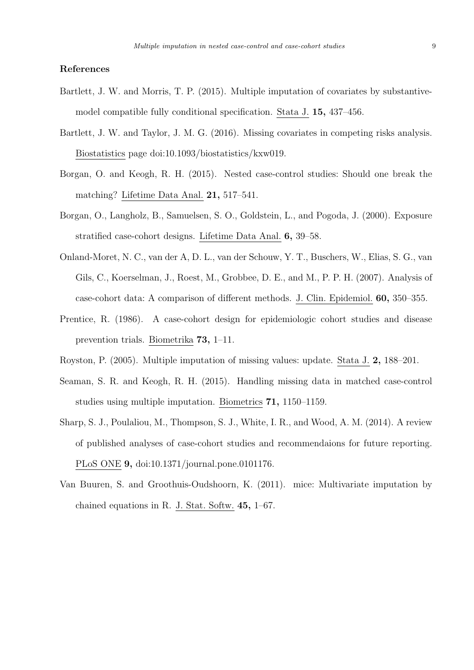### References

- Bartlett, J. W. and Morris, T. P. (2015). Multiple imputation of covariates by substantivemodel compatible fully conditional specification. Stata J. 15, 437–456.
- Bartlett, J. W. and Taylor, J. M. G. (2016). Missing covariates in competing risks analysis. Biostatistics page doi:10.1093/biostatistics/kxw019.
- Borgan, O. and Keogh, R. H. (2015). Nested case-control studies: Should one break the matching? Lifetime Data Anal. 21, 517–541.
- Borgan, O., Langholz, B., Samuelsen, S. O., Goldstein, L., and Pogoda, J. (2000). Exposure stratified case-cohort designs. Lifetime Data Anal. 6, 39–58.
- Onland-Moret, N. C., van der A, D. L., van der Schouw, Y. T., Buschers, W., Elias, S. G., van Gils, C., Koerselman, J., Roest, M., Grobbee, D. E., and M., P. P. H. (2007). Analysis of case-cohort data: A comparison of different methods. J. Clin. Epidemiol. 60, 350–355.
- Prentice, R. (1986). A case-cohort design for epidemiologic cohort studies and disease prevention trials. Biometrika 73, 1–11.
- Royston, P. (2005). Multiple imputation of missing values: update. Stata J. 2, 188–201.
- Seaman, S. R. and Keogh, R. H. (2015). Handling missing data in matched case-control studies using multiple imputation. Biometrics 71, 1150–1159.
- Sharp, S. J., Poulaliou, M., Thompson, S. J., White, I. R., and Wood, A. M. (2014). A review of published analyses of case-cohort studies and recommendaions for future reporting. PLoS ONE 9, doi:10.1371/journal.pone.0101176.
- Van Buuren, S. and Groothuis-Oudshoorn, K. (2011). mice: Multivariate imputation by chained equations in R. J. Stat. Softw. 45, 1–67.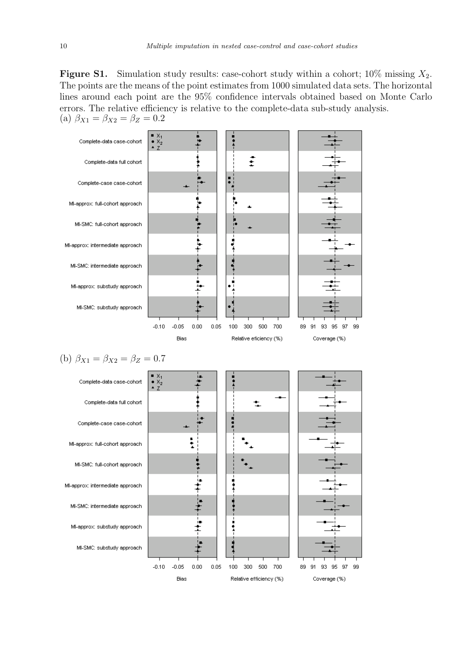**Figure S1.** Simulation study results: case-cohort study within a cohort;  $10\%$  missing  $X_2$ . The points are the means of the point estimates from 1000 simulated data sets. The horizontal lines around each point are the 95% confidence intervals obtained based on Monte Carlo errors. The relative efficiency is relative to the complete-data sub-study analysis. (a)  $\beta_{X1} = \beta_{X2} = \beta_Z = 0.2$ 

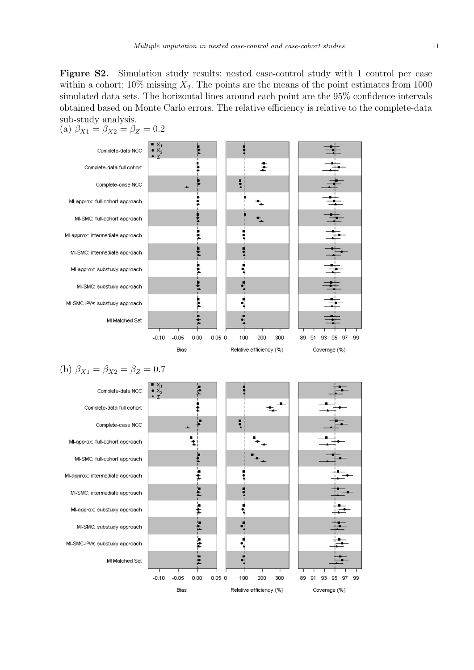Figure S2. Simulation study results: nested case-control study with 1 control per case within a cohort;  $10\%$  missing  $X_2$ . The points are the means of the point estimates from 1000 simulated data sets. The horizontal lines around each point are the 95% confidence intervals obtained based on Monte Carlo errors. The relative efficiency is relative to the complete-data sub-study analysis.

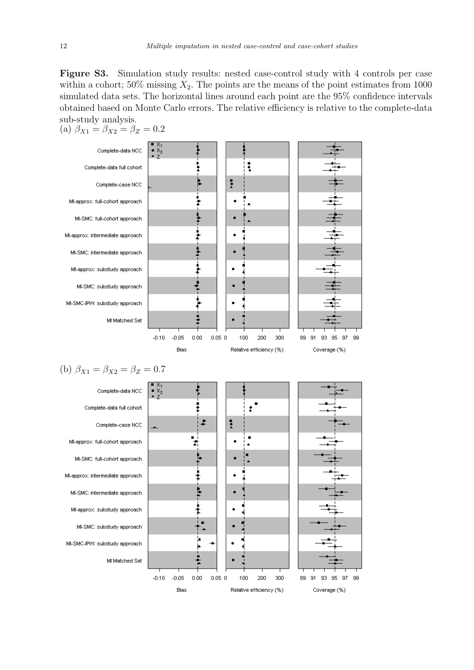Figure S3. Simulation study results: nested case-control study with 4 controls per case within a cohort;  $50\%$  missing  $X_2$ . The points are the means of the point estimates from 1000 simulated data sets. The horizontal lines around each point are the 95% confidence intervals obtained based on Monte Carlo errors. The relative efficiency is relative to the complete-data sub-study analysis.



 $-0.10$ 

 $-0.05$ 

Bias

 $0.00$ 

 $0.05\,0$ 

100

200

Relative efficiency (%)

300

89 91 93 95 97 Coverage (%)

99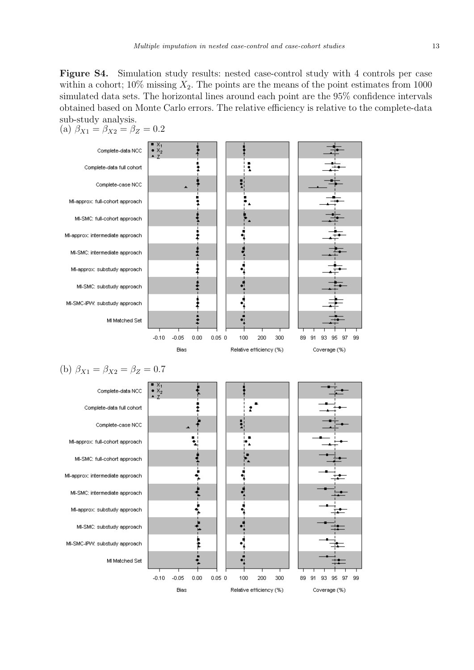Figure S4. Simulation study results: nested case-control study with 4 controls per case within a cohort;  $10\%$  missing  $X_2$ . The points are the means of the point estimates from 1000 simulated data sets. The horizontal lines around each point are the 95% confidence intervals obtained based on Monte Carlo errors. The relative efficiency is relative to the complete-data sub-study analysis.